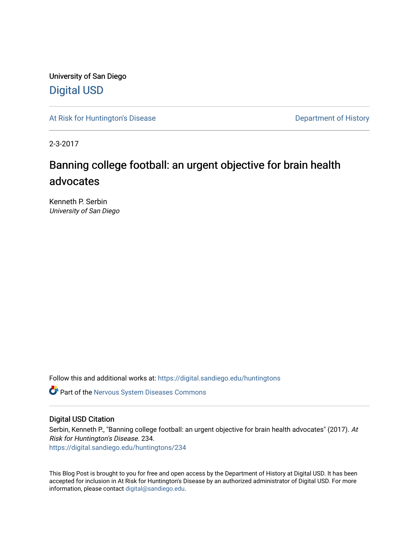University of San Diego [Digital USD](https://digital.sandiego.edu/)

[At Risk for Huntington's Disease](https://digital.sandiego.edu/huntingtons) **Department of History** Department of History

2-3-2017

# Banning college football: an urgent objective for brain health advocates

Kenneth P. Serbin University of San Diego

Follow this and additional works at: [https://digital.sandiego.edu/huntingtons](https://digital.sandiego.edu/huntingtons?utm_source=digital.sandiego.edu%2Fhuntingtons%2F234&utm_medium=PDF&utm_campaign=PDFCoverPages)

**C** Part of the [Nervous System Diseases Commons](http://network.bepress.com/hgg/discipline/928?utm_source=digital.sandiego.edu%2Fhuntingtons%2F234&utm_medium=PDF&utm_campaign=PDFCoverPages)

# Digital USD Citation

Serbin, Kenneth P., "Banning college football: an urgent objective for brain health advocates" (2017). At Risk for Huntington's Disease. 234. [https://digital.sandiego.edu/huntingtons/234](https://digital.sandiego.edu/huntingtons/234?utm_source=digital.sandiego.edu%2Fhuntingtons%2F234&utm_medium=PDF&utm_campaign=PDFCoverPages)

This Blog Post is brought to you for free and open access by the Department of History at Digital USD. It has been accepted for inclusion in At Risk for Huntington's Disease by an authorized administrator of Digital USD. For more information, please contact [digital@sandiego.edu.](mailto:digital@sandiego.edu)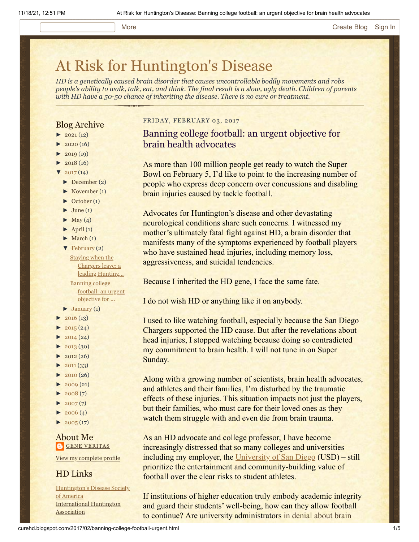### More **[Create Blog](https://www.blogger.com/home#create) [Sign In](https://www.blogger.com/)**

# [At Risk for Huntington's Disease](http://curehd.blogspot.com/)

*HD is a genetically caused brain disorder that causes uncontrollable bodily movements and robs people's ability to walk, talk, eat, and think. The final result is a slow, ugly death. Children of parents with HD have a 50-50 chance of inheriting the disease. There is no cure or treatment.*

# Blog Archive

- $\blacktriangleright$  [2021](http://curehd.blogspot.com/2021/) (12)
- $\blacktriangleright$  [2020](http://curehd.blogspot.com/2020/) (16)
- $\blacktriangleright$  [2019](http://curehd.blogspot.com/2019/) (19)
- $\blacktriangleright$  [2018](http://curehd.blogspot.com/2018/) (16)
- $\frac{2017(14)}{201}$  $\frac{2017(14)}{201}$  $\frac{2017(14)}{201}$
- [►](javascript:void(0)) [December](http://curehd.blogspot.com/2017/12/) (2)
- [►](javascript:void(0)) [November](http://curehd.blogspot.com/2017/11/) (1)
- [►](javascript:void(0)) [October](http://curehd.blogspot.com/2017/10/) (1)
- $\blacktriangleright$  [June](http://curehd.blogspot.com/2017/06/) (1)
- $\blacktriangleright$  [May](http://curehd.blogspot.com/2017/05/) (4)
- $\blacktriangleright$  [April](http://curehd.blogspot.com/2017/04/) (1)
- $\blacktriangleright$  [March](http://curehd.blogspot.com/2017/03/) (1)
- [▼](javascript:void(0)) [February](http://curehd.blogspot.com/2017/02/) (2) Staying when the Chargers leave: a leading [Hunting...](http://curehd.blogspot.com/2017/02/staying-when-chargers-leave-leading.html) Banning college football: an urgent [objective](http://curehd.blogspot.com/2017/02/banning-college-football-urgent.html) for ...
- $\blacktriangleright$  [January](http://curehd.blogspot.com/2017/01/) (1)
- $\blacktriangleright$  [2016](http://curehd.blogspot.com/2016/) (13)
- $\blacktriangleright$  [2015](http://curehd.blogspot.com/2015/) (24)
- $\blacktriangleright$  [2014](http://curehd.blogspot.com/2014/) (24)
- $\blacktriangleright$  [2013](http://curehd.blogspot.com/2013/) (30)
- $\blacktriangleright$  [2012](http://curehd.blogspot.com/2012/) (26)
- $\blacktriangleright$  [2011](http://curehd.blogspot.com/2011/) (33)
- $\blacktriangleright$  [2010](http://curehd.blogspot.com/2010/) (26)
- $\blacktriangleright$  [2009](http://curehd.blogspot.com/2009/) (21)
- $\blacktriangleright$  [2008](http://curehd.blogspot.com/2008/) $(7)$
- $\blacktriangleright$  [2007](http://curehd.blogspot.com/2007/) $(7)$
- $\blacktriangleright$  [2006](http://curehd.blogspot.com/2006/) (4)
- $\blacktriangleright$  [2005](http://curehd.blogspot.com/2005/) (17)

### About Me **GENE [VERITAS](https://www.blogger.com/profile/10911736205741688185)**

View my [complete](https://www.blogger.com/profile/10911736205741688185) profile

# HD Links

[Huntington's](http://www.hdsa.org/) Disease Society of America [International](http://www.huntington-assoc.com/) Huntington **Association** 

### FRIDAY, FEBRUARY 03, 2017

Banning college football: an urgent objective for brain health advocates

As more than 100 million people get ready to watch the Super Bowl on February 5, I'd like to point to the increasing number of people who express deep concern over concussions and disabling brain injuries caused by tackle football.

Advocates for Huntington's disease and other devastating neurological conditions share such concerns. I witnessed my mother's ultimately fatal fight against HD, a brain disorder that manifests many of the symptoms experienced by football players who have sustained head injuries, including memory loss, aggressiveness, and suicidal tendencies.

Because I inherited the HD gene, I face the same fate.

I do not wish HD or anything like it on anybody.

I used to like watching football, especially because the San Diego Chargers supported the HD cause. But after the revelations about head injuries, I stopped watching because doing so contradicted my commitment to brain health. I will not tune in on Super Sunday.

Along with a growing number of scientists, brain health advocates, and athletes and their families, I'm disturbed by the traumatic effects of these injuries. This situation impacts not just the players, but their families, who must care for their loved ones as they watch them struggle with and even die from brain trauma.

As an HD advocate and college professor, I have become increasingly distressed that so many colleges and universities – including my employer, the [University of San Diego](http://www.sandiego.edu/) (USD) – still prioritize the entertainment and community-building value of football over the clear risks to student athletes.

If institutions of higher education truly embody academic integrity and guard their students' well-being, how can they allow football to continue? Are university [administrators in denial about brain](http://www.pbs.org/wgbh/frontline/film/league-of-denial/)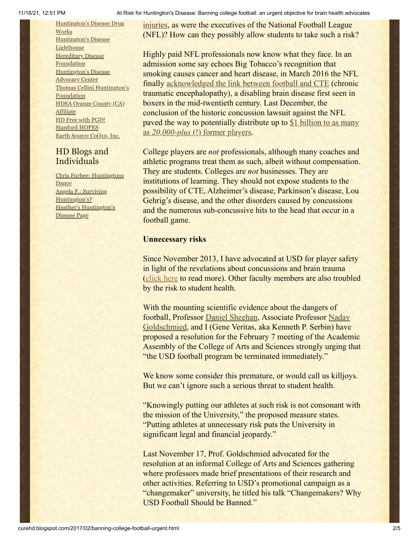[Huntington's](http://hddrugworks.org/) Disease Drug **Works** [Huntington's](http://www.hdlighthouse.org/) Disease **Lighthouse Hereditary Disease [Foundation](http://www.hdfoundation.org/)** [Huntington's](http://www.hdac.org/) Disease Advocacy Center Thomas [Cellini Huntington's](http://www.ourtchfoundation.org/) Foundation HDSA Orange County (CA) **[Affiliate](http://www.hdsaoc.org/)** HD Free with [PGD!](http://www.hdfreewithpgd.com/) [Stanford](http://www.stanford.edu/group/hopes/) HOPES Earth Source [CoQ10,](http://www.escoq10.com/) Inc.

# HD Blogs and Individuals

Chris Furbee: [Huntingtons](http://www.huntingtonsdance.org/) Dance Angela F.: Surviving [Huntington's?](http://survivinghuntingtons.blogspot.com/) Heather's [Huntington's](http://heatherdugdale.angelfire.com/) Disease Page

[injuries, as were the executives of the](http://www.pbs.org/wgbh/frontline/film/league-of-denial/) National Football League (NFL)? How can they possibly allow students to take such a risk?

Highly paid NFL professionals now know what they face. In an admission some say echoes Big Tobacco's recognition that smoking causes cancer and heart disease, in March 2016 the NFL finally [acknowledged the link between football and CTE](https://www.nytimes.com/2016/03/16/sports/nfl-concussions-cte-football-jeff-miller.html?_r=1) (chronic traumatic encephalopathy), a disabling brain disease first seen in boxers in the mid-twentieth century. Last December, the conclusion of the historic concussion lawsuit against the NFL paved the way to potentially [distribute up to \\$1 billion to as many](https://www.nytimes.com/2016/12/12/sports/football/nfl-concussion-settlement-payments-supreme-court.html) as *20,000-plus* [\(!\) former players](https://www.nytimes.com/2016/12/12/sports/football/nfl-concussion-settlement-payments-supreme-court.html).

College players are *not* professionals, although many coaches and athletic programs treat them as such, albeit without compensation. They are students. Colleges are *not* businesses. They are institutions of learning. They should not expose students to the possibility of CTE, Alzheimer's disease, Parkinson's disease, Lou Gehrig's disease, and the other disorders caused by concussions and the numerous sub-concussive hits to the head that occur in a football game.

# **Unnecessary risks**

Since November 2013, I have advocated at USD for player safety in light of the revelations about concussions and brain trauma ([click here](http://curehd.blogspot.com/2013/12/its-playoff-time-and-reminder-that.html) to read more). Other faculty members are also troubled by the risk to student health.

With the mounting scientific evidence about the dangers of [football, Professor Daniel Sheehan, Associate Professor Nadav](https://www.sandiego.edu/cas/psychological-sciences/faculty-and-staff/biography.php?profile_id=403) Goldschmied, and I (Gene Veritas, aka Kenneth P. Serbin) have proposed a resolution for the February 7 meeting of the Academic Assembly of the College of Arts and Sciences strongly urging that "the USD football program be terminated immediately."

We know some consider this premature, or would call us killjoys. But we can't ignore such a serious threat to student health.

"Knowingly putting our athletes at such risk is not consonant with the mission of the University," the proposed measure states. "Putting athletes at unnecessary risk puts the University in significant legal and financial jeopardy."

Last November 17, Prof. Goldschmied advocated for the resolution at an informal College of Arts and Sciences gathering where professors made brief presentations of their research and other activities. Referring to USD's promotional campaign as a "changemaker" university, he titled his talk "Changemakers? Why USD Football Should be Banned."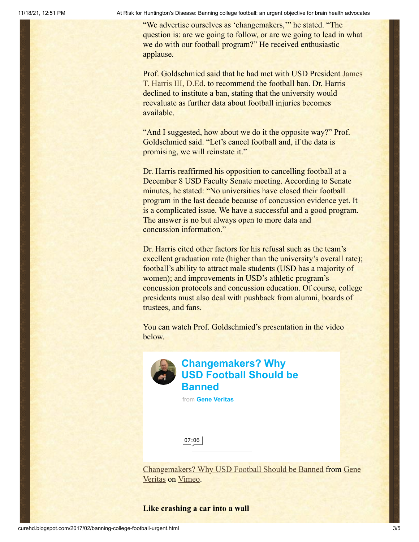11/18/21, 12:51 PM At Risk for Huntington's Disease: Banning college football: an urgent objective for brain health advocates

"We advertise ourselves as 'changemakers,'" he stated. "The question is: are we going to follow, or are we going to lead in what we do with our football program?" He received enthusiastic applause.

Prof. Goldschmied said that [he had met with USD President James](https://www.sandiego.edu/president/about/biography.php?profile_id=1409]) T. Harris III, D.Ed. to recommend the football ban. Dr. Harris declined to institute a ban, stating that the university would reevaluate as further data about football injuries becomes available.

"And I suggested, how about we do it the opposite way?" Prof. Goldschmied said. "Let's cancel football and, if the data is promising, we will reinstate it."

Dr. Harris reaffirmed his opposition to cancelling football at a December 8 USD Faculty Senate meeting. According to Senate minutes, he stated: "No universities have closed their football program in the last decade because of concussion evidence yet. It is a complicated issue. We have a successful and a good program. The answer is no but always open to more data and concussion information."

Dr. Harris cited other factors for his refusal such as the team's excellent graduation rate (higher than the university's overall rate); football's ability to attract male students (USD has a majority of women); and improvements in USD's athletic program's concussion protocols and concussion education. Of course, college presidents must also deal with pushback from alumni, boards of trustees, and fans.

You can watch Prof. Goldschmied's presentation in the video below.



# **Changemakers? Why [USD Football Should be](https://vimeo.com/192203629?embedded=true&source=video_title&owner=6019843) Banned**

from **[Gene Veritas](https://vimeo.com/user6019843?embedded=true&source=owner_name&owner=6019843)**

| 07:06 |  |
|-------|--|
|       |  |

[Changemakers? Why USD Football Should be Banned from Gene](https://vimeo.com/user6019843) Veritas on [Vimeo](https://vimeo.com/).

# **Like crashing a car into a wall**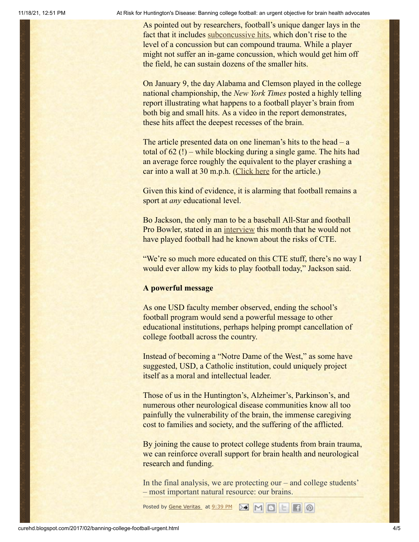11/18/21, 12:51 PM At Risk for Huntington's Disease: Banning college football: an urgent objective for brain health advocates

As pointed out by researchers, football's unique danger lays in the fact that it includes [subconcussive hits,](http://www.pbs.org/wgbh/pages/frontline/sports/league-of-denial/the-frontline-interview-ann-mckee/) which don't rise to the level of a concussion but can compound trauma. While a player might not suffer an in-game concussion, which would get him off the field, he can sustain dozens of the smaller hits.

On January 9, the day Alabama and Clemson played in the college national championship, the *New York Times* posted a highly telling report illustrating what happens to a football player's brain from both big and small hits. As a video in the report demonstrates, these hits affect the deepest recesses of the brain.

The article presented data on one lineman's hits to the head – a total of 62 (!) – while blocking during a single game. The hits had an average force roughly the equivalent to the player crashing a car into a wall at 30 m.p.h. [\(Click here](http://nyti.ms/2ibjrWU) for the article.)

Given this kind of evidence, it is alarming that football remains a sport at *any* educational level.

Bo Jackson, the only man to be a baseball All-Star and football Pro Bowler, stated in an [interview](http://www.usatoday.com/story/sports/mlb/columnist/bob-nightengale/2017/01/12/bo-jackson-football-cte-mlb/96492338/) this month that he would not have played football had he known about the risks of CTE.

"We're so much more educated on this CTE stuff, there's no way I would ever allow my kids to play football today," Jackson said.

## **A powerful message**

As one USD faculty member observed, ending the school's football program would send a powerful message to other educational institutions, perhaps helping prompt cancellation of college football across the country.

Instead of becoming a "Notre Dame of the West," as some have suggested, USD, a Catholic institution, could uniquely project itself as a moral and intellectual leader.

Those of us in the Huntington's, Alzheimer's, Parkinson's, and numerous other neurological disease communities know all too painfully the vulnerability of the brain, the immense caregiving cost to families and society, and the suffering of the afflicted.

By joining the cause to protect college students from brain trauma, we can reinforce overall support for brain health and neurological research and funding.

In the final analysis, we are protecting our – and college students' – most important natural resource: our brains.

Posted by <u>Gene [Veritas](https://www.blogger.com/profile/10911736205741688185)</u> at [9:39](http://curehd.blogspot.com/2017/02/banning-college-football-urgent.html) PM **M M B H**